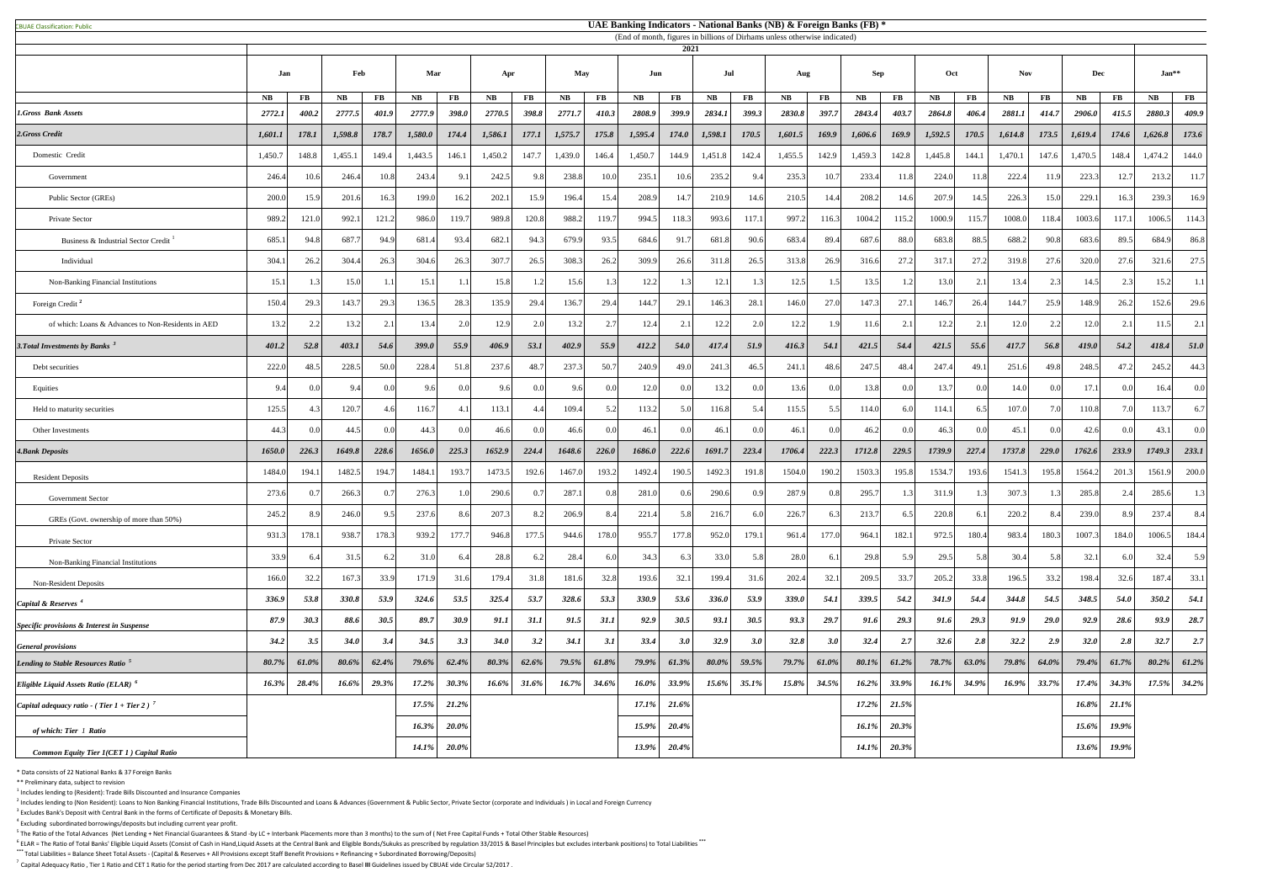<sup>6</sup> ELAR = The Ratio of Total Banks' Eligible Liquid Assets (Consist of Cash in Hand,Liquid Assets at the Central Bank and Eligible Bonds/Sukuks as prescribed by regulation 33/2015 & Basel Principles but excludes interbank **\*\*\*** Total Liabilities = Balance Sheet Total Assets - (Capital & Reserves + All Provisions except Staff Benefit Provisions + Refinancing + Subordinated Borrowing/Deposits)

<sup>7</sup> Capital Adequacy Ratio, Tier 1 Ratio and CET 1 Ratio for the period starting from Dec 2017 are calculated according to Basel III Guidelines issued by CBUAE vide Circular 52/2017.

|                                                    |               |            |               |          |              |                   |             |          |               |          |               | 2021     | (End of month, figures in billions of Dirhams unless otherwise indicated) |           |                   |          |              |               |         |            |         |               |         |          |          |          |
|----------------------------------------------------|---------------|------------|---------------|----------|--------------|-------------------|-------------|----------|---------------|----------|---------------|----------|---------------------------------------------------------------------------|-----------|-------------------|----------|--------------|---------------|---------|------------|---------|---------------|---------|----------|----------|----------|
|                                                    |               | Feb<br>Jan |               | Mar      |              | <b>May</b><br>Apr |             | Jun      |               | Jul      |               | Aug      |                                                                           |           | Oct<br><b>Sep</b> |          | <b>Nov</b>   |               |         | <b>Dec</b> |         | $Jan**$       |         |          |          |          |
|                                                    | $N\mathbf{B}$ | <b>FB</b>  | $N\mathbf{B}$ | $\bf FB$ | NB           | $\bf FB$          | <b>NB</b>   | $\bf FB$ | $N\mathbf{B}$ | $\bf FB$ | $N\mathbf{B}$ | $\bf FB$ | N <sub>B</sub>                                                            | <b>FB</b> | NB                | $\bf FB$ | NB           | $\mathbf{FB}$ | NB      | $\bf FB$   | NB      | $\mathbf{FB}$ | NB      | $\bf FB$ | NB       | $\bf FB$ |
| <b>1.Gross Bank Assets</b>                         | 2772.1        | 400.2      | 2777.5        | 401.9    | 2777.9       | 398.0             | 2770.5      | 398.8    | 2771.7        | 410.3    | 2808.9        | 399.9    | 2834.1                                                                    | 399.3     | 2830.8            | 397.7    | 2843.4       | 403.7         | 2864.8  | 406.4      | 2881.1  | 414.7         | 2906.0  | 415.5    | 2880.3   | 409.9    |
| 2.Gross Credit                                     | 1,601.1       | 178.1      | 1,598.8       | 178.7    | 1,580.0      | 174.4             | 1,586.1     | 177.1    | 1,575.7       | 175.8    | 1,595.4       | 174.0    | 1,598.1                                                                   | 170.5     | 1,601.5           | 169.9    | 1,606.6      | 169.9         | 1,592.5 | 170.5      | 1,614.8 | 173.5         | 1,619.4 | 174.6    | 1,626.8  | 173.6    |
| Domestic Credit                                    | 1,450.7       | 148.8      | 1,455.1       | 149.4    | 1,443.5      | 146.1             | 1,450.2     | 147.7    | 1,439.0       | 146.4    | 1,450.7       | 144.9    | 1,451.8                                                                   | 142.4     | 1,455.5           | 142.9    | 1,459.3      | 142.8         | 1,445.8 | 144.1      | 1,470.1 | 147.6         | 1,470.5 | 148.4    | 1,474.2  | 144.0    |
| Government                                         | 246.4         | 10.6       | 246.4         | 10.8     | 243.4        | 9.1               | 242.5       | 9.8      | 238.8         | 10.0     | 235.1         | 10.6     | 235.2                                                                     | 9.4       | 235.3             | 10.7     | 233.4        |               | 224.0   | 11.8       | 222.4   | 11.9          | 223.3   | 12.7     | 213.2    | -11.     |
| Public Sector (GREs)                               | 200.0         | 15.9       | 201.6         | 16.3     | 199.0        | 16.2              | 202.1       | 15.9     | 196.4         | 15.4     | 208.9         | 14.7     | 210.9                                                                     | 14.6      | 210.5             | 14.4     | 208.2        | 14.6          | 207.9   | 14.5       | 226.3   | 15.0          | 229.1   | 16.3     | 239.3    | 16.9     |
| Private Sector                                     | 989.2         | 121.0      | 992.          | 121.2    | 986.0        | 119.7             | 989.8       | 120.8    | 988.2         | 119.7    | 994.5         | 118.3    | 993.6                                                                     | 117.1     | 997.2             | 116.3    | 1004.2       | 115.2         | 1000.9  | 115.7      | 1008.0  | 118.4         | 1003.6  | 117.1    | 1006.5   | 114.3    |
| Business & Industrial Sector Credit                | 685.1         | 94.8       | 687.          | 94.9     | 681.4        | 93.4              | 682.1       | 94.3     | 679.9         | 93.5     | 684.6         | 91.7     | 681.8                                                                     | 90.6      | 683.4             | 89.4     | 687.6        | 88.0          | 683.8   | 88.5       | 688.2   | 90.8          | 683.6   | 89.5     | 684.9    | 86.8     |
| Individual                                         | 304.1         | 26.2       | 304.4         | 26.3     | 304.6        | 26.3              | 307.7       | 26.5     | 308.3         | 26.2     | 309.9         | 26.6     | 311.8                                                                     | 26.5      | 313.8             | 26.9     | 316.6        | 27.           | 317.1   | 27.2       | 319.8   | 27.6          | 320.0   | 27.6     | 321.6    | 27.5     |
| Non-Banking Financial Institutions                 | 15.1          |            | 15.0          |          | 15.1         |                   | 15.8        |          | 15.6          |          | 12.2          |          | 12.1                                                                      |           | 12.5              |          | 13.5         |               | 13.0    | 2.1        | 13.4    | 2.3           | 14.5    |          | 15.2     |          |
| Foreign Credit <sup>2</sup>                        | 150.4         | 29.3       | 143.7         | 29.3     | 136.5        | 28.3              | 135.9       | 29.4     | 136.7         | 29.4     | 144.7         | 29.1     | 146.3                                                                     | 28.1      | 146.0             | 27.0     | 147.         | 27.           | 146.7   | 26.4       | 144.7   | 25.9          | 148.9   | 26.2     | 152.6    | 29.6     |
| of which: Loans & Advances to Non-Residents in AED | 13.2          | 2.2        | 13.2          |          | 13.4         |                   | 12.9        | 2.0      | 13.2          | 2.7      | 12.4          |          | 12.2                                                                      | 2.0       | 12.2              |          | 11.6         |               | 12.2    |            | 12.0    | 2.2           | 12.0    |          | 11.5     |          |
| 3. Total Investments by Banks <sup>3</sup>         | 401.2         | 52.8       | 403.1         | 54.6     | 399.0        | 55.9              | 406.9       | 53.1     | 402.9         | 55.9     | 412.2         | 54.0     | 417.4                                                                     | 51.9      | 416.3             | 54.1     | 421.5        | 54.4          | 421.5   | 55.6       | 417.7   | 56.8          | 419.0   | 54.2     | 418.4    | 51.0     |
| Debt securities                                    | 222.0         | 48.5       | 228.5         | 50.0     | 228.4        | 51.8              | 237.6       | 48.7     | 237.3         | 50.7     | 240.9         | 49.0     | 241.3                                                                     | 46.5      | 241.1             | 48.6     | 247.5        | 48.4          | 247.4   | 49.1       | 251.6   | 49.8          | 248.5   | 47.2     | 245.2    | 44.      |
| Equities                                           | 9.4           |            | 9.4           | -0.01    | 9.6          | 0.0 <sub>l</sub>  | 96          | 0.0      | 9.6           | 0.0      | 12.0          |          | 13.2                                                                      | 0.0       | 13.6              | 0.0      | 13.8         |               | 13.7    | 0.0        | 14.0    | 0.0           | 17.1    |          | 16.4     | 0.0      |
| Held to maturity securities                        | 125.5         |            | 120.7         | 4.6      | 116.7        | 4.1               | 113.1       |          | 109.4         |          | 113.2         |          | 116.8                                                                     | 5.4       | 115.5             | $5$ .    | 114.0        |               | 114.1   | 6.5        | 107.0   | 7.0           | 110.8   |          | 113.7    |          |
| Other Investments                                  | 44.3          |            | 44.5          | 0.01     | 44.3         |                   | 46.6        | $\Omega$ | 46.6          | 0.0      | 46.1          | 00       | 46.1                                                                      | 0.0       | 46.1              |          | 46.2         |               | 46.3    |            | 45.1    | 0.0           | 42.6    |          | 43.1     | - 0 0 1  |
| <b>4. Bank Deposits</b>                            | 1650.0        | 226.3      | 1649.8        | 228.6    | 1656.0       | 225.3             | 1652.9      | 224.4    | 1648.6        | 226.0    | 1686.0        | 222.6    | 1691.7                                                                    | 223.4     | 1706.4            | 222.3    | 1712.8       | 229.5         | 1739.9  | 227.4      | 1737.8  | 229.0         | 1762.6  | 233.9    | 1749.3   | 233.1    |
| <b>Resident Deposits</b>                           | 1484.0        | 194.1      | 1482.5        | 194.     | 1484.1       | 193.7             | 1473.5      | 192.6    | 1467.0        | 193.2    | 1492.4        | 190.5    | 1492.3                                                                    | 191.8     | 1504.0            | 190.2    | 1503.3       | 195.8         | 1534.7  | 193.6      | 1541.3  | 195.8         | 1564.2  | 201.3    | 1561.9   | 200.0    |
| <b>Government Sector</b>                           | 273.6         |            | 266.3         |          | 276.3        |                   | 290.6       |          | 287.1         | 0.8      | 281.0         |          | 290.6                                                                     | 0.9       | 287.9             |          | 295.         |               | 311.9   |            | 307.3   |               | 285.8   |          | 285.6    |          |
| GREs (Govt. ownership of more than 50%)            | 245.2         |            | 246.0         | 9.5      | 237.6        | 8.6               | 207.3       | 8.2      | 206.9         | 8.4      | 221.4         | 5.8      | 216.7                                                                     | 6.0       | 226.7             | 6.3      | 213.         |               | 220.8   | 6.1        | 220.2   | 8.4           | 239.0   |          | 237.4    |          |
| Private Sector                                     | 931.3         | 178.1      | 938.7         | 178.3    | 939.2        | 177.7             | 946.8       | 177.5    | 944.6         | 178.0    | 955.7         | 177.8    | 952.0                                                                     | 179.1     | 961.4             | 177.0    | 964.         | 182.          | 972.5   | 180.4      | 983.4   | 180.3         | 1007.3  | 184.0    | 1006.5   | 184.     |
| Non-Banking Financial Institutions                 | 33.9          | 6.4        | 31.5          |          | 31.0         | 6.4               | 28.8        |          | 28.4          |          | 34.3          | 6.3      | 33.0 <sub>1</sub>                                                         | 5.8       | 28.0              | 6.       | 29.8         |               | 29.5    | 5.8        | 30.4    | 5.8           | 32.1    |          | 32.4     |          |
| <b>Non-Resident Deposits</b>                       | 166.0         | 32.2       | 167.3         | 33.9     | 171.9        | 31.6              | 179.4       | 31.8     | 181.6         | 32.8     | 193.6         | 32.1     | 199.4                                                                     | 31.6      | 202.4             | 32.1     | 209.5        | 33.7          | 205.2   | 33.8       | 196.5   | 33.2          | 198.4   | 32.6     | 187.4    | 33.      |
| Capital & Reserves <sup>4</sup>                    | 336.9         | 53.8       | 330.8         | 53.9     | 324.6        | 53.5              | 325.4       | 53.7     | 328.6         | 53.3     | 330.9         | 53.6     | <b>336.0</b>                                                              | 53.9      | 339.0             | 54.1     | 339.5        | 54.2          | 341.9   | 54.4       | 344.8   | 54.5          | 348.5   | 54.0     | 350.2    | 54.1     |
| Specific provisions & Interest in Suspense         | 87.9          | 30.3       | 88.6          | 30.5     | 89.7         | 30.9              | 91.1        | 31.1     | 91.5          | 31.1     | 92.9          | 30.5     | 93.1                                                                      | 30.5      | 93.3              | 29.7     | 91.6         | 29.3          | 91.6    | 29.3       | 91.9    | 29.0          | 92.9    | 28.6     | 93.9     | 28.7     |
| <b>General provisions</b>                          | 34.2          | 3.5        | 34.0          | 3.4      | 34.5         | 3.3               | <b>34.0</b> | 3.2      | 34.1          | 3.1      | 33.4          | 3.0      | 32.9                                                                      | 3.0       | 32.8              | 3.0      | 32.4         | 2.7           | 32.6    | 2.8        | 32.2    | 2.9           | 32.0    | 2.8      | 32.7     | 2.7      |
| Lending to Stable Resources Ratio <sup>5</sup>     | 80.7%         | 61.0%      | 80.6%         | 62.4%    | 79.6%        | 62.4%             | 80.3%       | $62.6\%$ | $79.5\%$      | $61.8\%$ | $79.9\%$      | 61.3%    | $80.0\%$                                                                  | 59.5%     | 79.7%             | 61.0%    | $80.1\%$     | 61.2%         | 78.7%   | $63.0\%$   | 79.8%   | 64.0%         | 79.4%   | 61.7%    | $80.2\%$ | 61.2%    |
| <i>Eligible Liquid Assets Ratio (ELAR)</i> $^6$    | 16.3%         | 28.4%      | 16.6%         | 29.3%    | 17.2%        | 30.3%             | $16.6\%$    | 31.6%    | 16.7%         | $34.6\%$ | 16.0%         | 33.9%    | $15.6\%$                                                                  | $35.1\%$  | 15.8%             | 34.5%    | 16.2%        | 33.9%         | 16.1%   | 34.9%      | 16.9%   | 33.7%         | 17.4%   | 34.3%    | 17.5%    | 34.2%    |
| Capital adequacy ratio - (Tier 1 + Tier 2) $^7$    |               |            |               |          | 17.5%        | 21.2%             |             |          |               |          | 17.1%         | $21.6\%$ |                                                                           |           |                   |          | 17.2%        | 21.5%         |         |            |         |               | 16.8%   | 21.1%    |          |          |
| of which: Tier 1 Ratio                             |               |            |               |          | 16.3%        | 20.0%             |             |          |               |          | 15.9%         | $20.4\%$ |                                                                           |           |                   |          | 16.1%        | 20.3%         |         |            |         |               | 15.6%   | 19.9%    |          |          |
| <b>Common Equity Tier 1(CET 1) Capital Ratio</b>   |               |            |               |          | <b>14.1%</b> | $20.0\%$          |             |          |               |          | 13.9%         | $20.4\%$ |                                                                           |           |                   |          | <b>14.1%</b> | $20.3\%$      |         |            |         |               | 13.6%   | 19.9%    |          |          |

\* Data consists of 22 National Banks & 37 Foreign Banks

\*\* Preliminary data, subject to revision

 $<sup>1</sup>$  Includes lending to (Resident): Trade Bills Discounted and Insurance Companies</sup>

 $^2$  Includes lending to (Non Resident): Loans to Non Banking Financial Institutions, Trade Bills Discounted and Loans & Advances (Government & Public Sector, Private Sector (corporate and Individuals) in Local and Foreig <sup>3</sup> Excludes Bank's Deposit with Central Bank in the forms of Certificate of Deposits & Monetary Bills.

<sup>4</sup> Excluding subordinated borrowings/deposits but including current year profit.

<sup>5</sup> The Ratio of the Total Advances (Net Lending + Net Financial Guarantees & Stand -by LC + Interbank Placements more than 3 months) to the sum of (Net Free Capital Funds + Total Other Stable Resources)

## **UAE Banking Indicators - National Banks (NB) & Foreign Banks (FB) \***